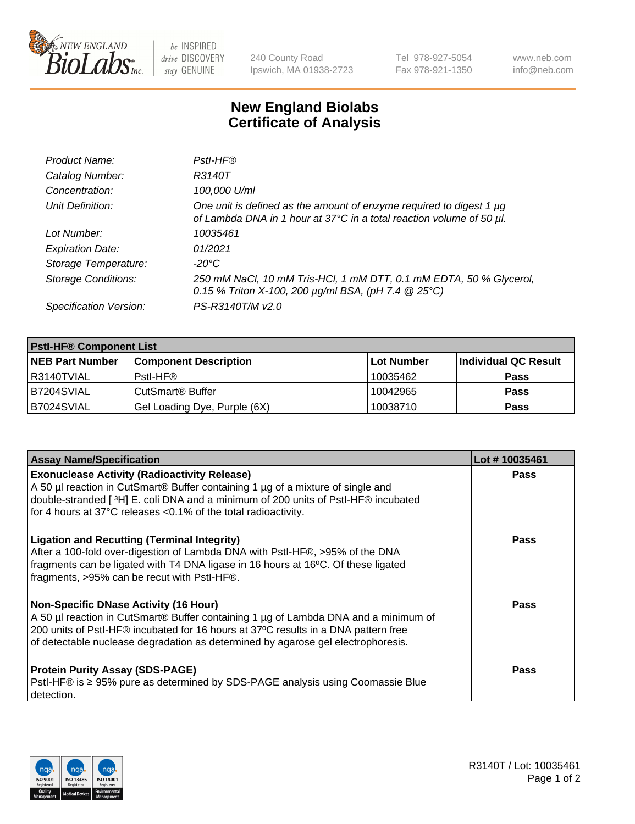

 $be$  INSPIRED drive DISCOVERY stay GENUINE

240 County Road Ipswich, MA 01938-2723 Tel 978-927-5054 Fax 978-921-1350 www.neb.com info@neb.com

## **New England Biolabs Certificate of Analysis**

| Product Name:              | Pstl-HF®                                                                                                                                             |
|----------------------------|------------------------------------------------------------------------------------------------------------------------------------------------------|
| Catalog Number:            | R3140T                                                                                                                                               |
| Concentration:             | 100,000 U/ml                                                                                                                                         |
| Unit Definition:           | One unit is defined as the amount of enzyme required to digest 1 µg<br>of Lambda DNA in 1 hour at 37°C in a total reaction volume of 50 µl.          |
| Lot Number:                | 10035461                                                                                                                                             |
| <b>Expiration Date:</b>    | 01/2021                                                                                                                                              |
| Storage Temperature:       | -20°C                                                                                                                                                |
| <b>Storage Conditions:</b> | 250 mM NaCl, 10 mM Tris-HCl, 1 mM DTT, 0.1 mM EDTA, 50 % Glycerol,<br>0.15 % Triton X-100, 200 $\mu$ g/ml BSA, (pH 7.4 $\textcircled{25}^{\circ}$ C) |
| Specification Version:     | PS-R3140T/M v2.0                                                                                                                                     |

| <b>PstI-HF® Component List</b> |                              |            |                      |  |
|--------------------------------|------------------------------|------------|----------------------|--|
| <b>NEB Part Number</b>         | <b>Component Description</b> | Lot Number | Individual QC Result |  |
| R3140TVIAL                     | Pstl-HF®                     | 10035462   | <b>Pass</b>          |  |
| B7204SVIAL                     | CutSmart® Buffer             | 10042965   | <b>Pass</b>          |  |
| B7024SVIAL                     | Gel Loading Dye, Purple (6X) | 10038710   | <b>Pass</b>          |  |

| <b>Assay Name/Specification</b>                                                                                                                                                                                                                                                                                                          | Lot #10035461 |
|------------------------------------------------------------------------------------------------------------------------------------------------------------------------------------------------------------------------------------------------------------------------------------------------------------------------------------------|---------------|
| <b>Exonuclease Activity (Radioactivity Release)</b><br>A 50 µl reaction in CutSmart® Buffer containing 1 µg of a mixture of single and<br>double-stranded [3H] E. coli DNA and a minimum of 200 units of PstI-HF® incubated                                                                                                              | <b>Pass</b>   |
| for 4 hours at 37°C releases <0.1% of the total radioactivity.<br><b>Ligation and Recutting (Terminal Integrity)</b><br>After a 100-fold over-digestion of Lambda DNA with PstI-HF®, >95% of the DNA<br>fragments can be ligated with T4 DNA ligase in 16 hours at 16°C. Of these ligated<br>fragments, >95% can be recut with PstI-HF®. | Pass          |
| <b>Non-Specific DNase Activity (16 Hour)</b><br>A 50 µl reaction in CutSmart® Buffer containing 1 µg of Lambda DNA and a minimum of<br>200 units of PstI-HF® incubated for 16 hours at 37°C results in a DNA pattern free<br>of detectable nuclease degradation as determined by agarose gel electrophoresis.                            | Pass          |
| <b>Protein Purity Assay (SDS-PAGE)</b><br>PstI-HF® is ≥ 95% pure as determined by SDS-PAGE analysis using Coomassie Blue<br>I detection.                                                                                                                                                                                                 | Pass          |